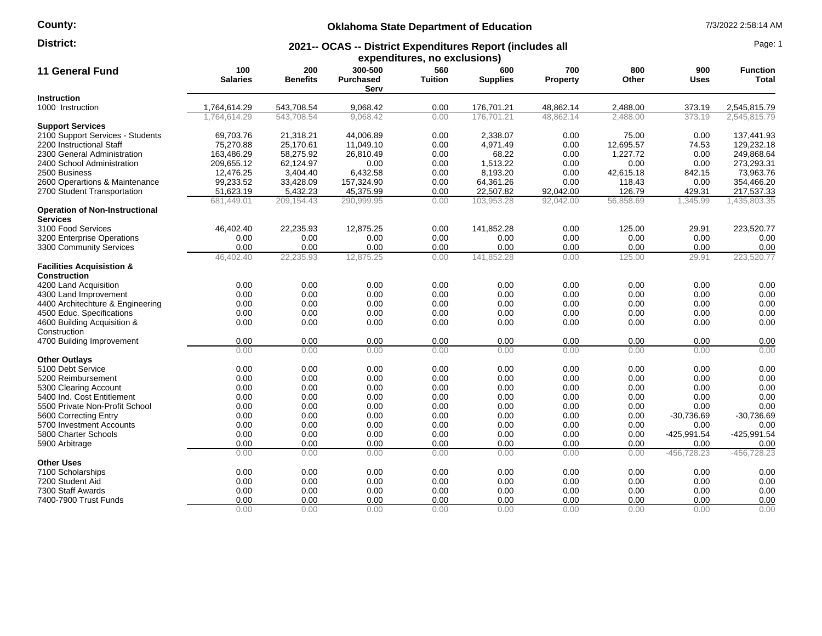**County:**

# **Oklahoma State Department of Education** 7/3/2022 2:58:14 AM

#### **2021-- OCAS -- District Expenditures Report (includes all District:** Page: 1

| expenditures, no exclusions)                             |                        |                        |                                     |                       |                        |                        |              |                    |                                 |
|----------------------------------------------------------|------------------------|------------------------|-------------------------------------|-----------------------|------------------------|------------------------|--------------|--------------------|---------------------------------|
| <b>11 General Fund</b>                                   | 100<br><b>Salaries</b> | 200<br><b>Benefits</b> | 300-500<br><b>Purchased</b><br>Serv | 560<br><b>Tuition</b> | 600<br><b>Supplies</b> | 700<br><b>Property</b> | 800<br>Other | 900<br><b>Uses</b> | <b>Function</b><br><b>Total</b> |
| <b>Instruction</b>                                       |                        |                        |                                     |                       |                        |                        |              |                    |                                 |
| 1000 Instruction                                         | 1,764,614.29           | 543,708.54             | 9,068.42                            | 0.00                  | 176,701.21             | 48,862.14              | 2,488.00     | 373.19             | 2,545,815.79                    |
|                                                          | 1.764.614.29           | 543.708.54             | 9.068.42                            | 0.00                  | 176.701.21             | 48.862.14              | 2.488.00     | 373.19             | 2.545.815.79                    |
| <b>Support Services</b>                                  |                        |                        |                                     |                       |                        |                        |              |                    |                                 |
| 2100 Support Services - Students                         | 69,703.76              | 21,318.21              | 44,006.89                           | 0.00                  | 2.338.07               | 0.00                   | 75.00        | 0.00               | 137,441.93                      |
| 2200 Instructional Staff                                 | 75,270.88              | 25,170.61              | 11,049.10                           | 0.00                  | 4,971.49               | 0.00                   | 12,695.57    | 74.53              | 129,232.18                      |
| 2300 General Administration                              | 163,486.29             | 58,275.92              | 26,810.49                           | 0.00                  | 68.22                  | 0.00                   | 1,227.72     | 0.00               | 249,868.64                      |
| 2400 School Administration                               | 209,655.12             | 62,124.97              | 0.00                                | 0.00                  | 1,513.22               | 0.00                   | 0.00         | 0.00               | 273,293.31                      |
| 2500 Business                                            | 12,476.25              | 3,404.40               | 6,432.58                            | 0.00                  | 8,193.20               | 0.00                   | 42,615.18    | 842.15             | 73,963.76                       |
| 2600 Operartions & Maintenance                           | 99,233.52              | 33,428.09              | 157,324.90                          | 0.00                  | 64,361.26              | 0.00                   | 118.43       | 0.00               | 354,466.20                      |
| 2700 Student Transportation                              | 51,623.19              | 5,432.23               | 45,375.99                           | 0.00                  | 22,507.82              | 92,042.00              | 126.79       | 429.31             | 217,537.33                      |
|                                                          | 681,449.01             | 209,154.43             | 290,999.95                          | 0.00                  | 103,953.28             | 92,042.00              | 56,858.69    | 1,345.99           | 1,435,803.35                    |
| <b>Operation of Non-Instructional</b><br><b>Services</b> |                        |                        |                                     |                       |                        |                        |              |                    |                                 |
| 3100 Food Services                                       | 46,402.40              | 22,235.93              | 12,875.25                           | 0.00                  | 141,852.28             | 0.00                   | 125.00       | 29.91              | 223,520.77                      |
| 3200 Enterprise Operations                               | 0.00                   | 0.00                   | 0.00                                | 0.00                  | 0.00                   | 0.00                   | 0.00         | 0.00               | 0.00                            |
| 3300 Community Services                                  | 0.00                   | 0.00                   | 0.00                                | 0.00                  | 0.00                   | 0.00                   | 0.00         | 0.00               | 0.00                            |
|                                                          | 46,402.40              | 22,235.93              | 12,875.25                           | 0.00                  | 141,852.28             | 0.00                   | 125.00       | 29.91              | 223,520.77                      |
| <b>Facilities Acquisistion &amp;</b>                     |                        |                        |                                     |                       |                        |                        |              |                    |                                 |
| <b>Construction</b>                                      |                        |                        |                                     |                       |                        |                        |              |                    |                                 |
| 4200 Land Acquisition                                    | 0.00                   | 0.00                   | 0.00                                | 0.00                  | 0.00                   | 0.00                   | 0.00         | 0.00               | 0.00                            |
| 4300 Land Improvement                                    | 0.00                   | 0.00                   | 0.00                                | 0.00                  | 0.00                   | 0.00                   | 0.00         | 0.00               | 0.00                            |
| 4400 Architechture & Engineering                         | 0.00                   | 0.00                   | 0.00                                | 0.00                  | 0.00                   | 0.00                   | 0.00         | 0.00               | 0.00                            |
| 4500 Educ. Specifications                                | 0.00                   | 0.00                   | 0.00                                | 0.00                  | 0.00                   | 0.00                   | 0.00         | 0.00               | 0.00                            |
| 4600 Building Acquisition &                              | 0.00                   | 0.00                   | 0.00                                | 0.00                  | 0.00                   | 0.00                   | 0.00         | 0.00               | 0.00                            |
| Construction                                             |                        |                        |                                     |                       |                        |                        |              |                    |                                 |
| 4700 Building Improvement                                | 0.00                   | 0.00                   | 0.00                                | 0.00                  | 0.00                   | 0.00                   | 0.00         | 0.00               | 0.00                            |
|                                                          | 0.00                   | 0.00                   | 0.00                                | 0.00                  | 0.00                   | 0.00                   | 0.00         | 0.00               | 0.00                            |
| <b>Other Outlays</b>                                     |                        |                        |                                     |                       |                        |                        |              |                    |                                 |
| 5100 Debt Service                                        | 0.00                   | 0.00                   | 0.00                                | 0.00                  | 0.00                   | 0.00                   | 0.00         | 0.00               | 0.00                            |
| 5200 Reimbursement                                       | 0.00                   | 0.00                   | 0.00                                | 0.00                  | 0.00                   | 0.00                   | 0.00         | 0.00               | 0.00                            |
| 5300 Clearing Account                                    | 0.00                   | 0.00                   | 0.00                                | 0.00                  | 0.00                   | 0.00                   | 0.00         | 0.00               | 0.00                            |
| 5400 Ind. Cost Entitlement                               | 0.00                   | 0.00                   | 0.00                                | 0.00                  | 0.00                   | 0.00                   | 0.00         | 0.00               | 0.00                            |
| 5500 Private Non-Profit School                           | 0.00                   | 0.00                   | 0.00                                | 0.00                  | 0.00                   | 0.00                   | 0.00         | 0.00               | 0.00                            |
| 5600 Correcting Entry                                    | 0.00                   | 0.00                   | 0.00                                | 0.00                  | 0.00                   | 0.00                   | 0.00         | $-30,736.69$       | $-30,736.69$                    |
| 5700 Investment Accounts                                 | 0.00                   | 0.00                   | 0.00                                | 0.00                  | 0.00                   | 0.00                   | 0.00         | 0.00               | 0.00                            |
| 5800 Charter Schools                                     | 0.00                   | 0.00                   | 0.00                                | 0.00                  | 0.00                   | 0.00                   | 0.00         | -425,991.54        | -425,991.54                     |
| 5900 Arbitrage                                           | 0.00                   | 0.00                   | 0.00                                | 0.00                  | 0.00                   | 0.00                   | 0.00         | 0.00               | 0.00                            |
|                                                          | 0.00                   | 0.00                   | 0.00                                | 0.00                  | 0.00                   | 0.00                   | 0.00         | $-456,728.23$      | $-456,728.23$                   |
| <b>Other Uses</b>                                        |                        |                        |                                     |                       |                        |                        |              |                    |                                 |
| 7100 Scholarships                                        | 0.00                   | 0.00                   | 0.00                                | 0.00                  | 0.00                   | 0.00                   | 0.00         | 0.00               | 0.00                            |
| 7200 Student Aid                                         | 0.00                   | 0.00                   | 0.00                                | 0.00                  | 0.00                   | 0.00                   | 0.00         | 0.00               | 0.00                            |
| 7300 Staff Awards                                        | 0.00                   | 0.00                   | 0.00                                | 0.00                  | 0.00                   | 0.00                   | 0.00         | 0.00               | 0.00                            |
| 7400-7900 Trust Funds                                    | 0.00                   | 0.00                   | 0.00                                | 0.00                  | 0.00                   | 0.00                   | 0.00         | 0.00               | 0.00                            |
|                                                          | 0.00                   | 0.00                   | 0.00                                | 0.00                  | 0.00                   | 0.00                   | 0.00         | 0.00               | 0.00                            |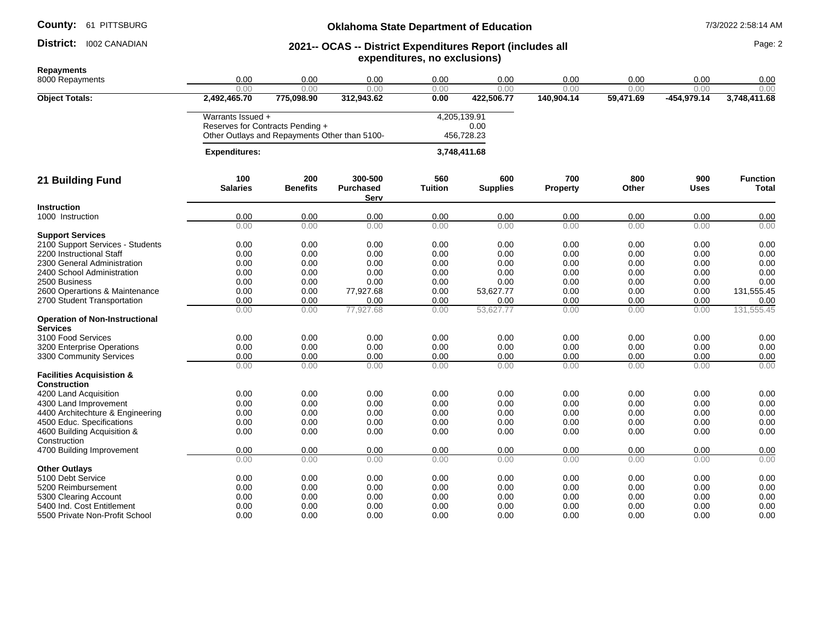**County:** 61 PITTSBURG

### District: 1002 CANADIAN

# **Oklahoma State Department of Education** 7/3/2022 2:58:14 AM

### **2021-- OCAS -- District Expenditures Report (includes all expenditures, no exclusions) District:** 1002 CANADIAN Page: 2 **2021-- OCAS -- District Expenditures Report (includes all Page: 2 Page: 2**

| 0.00<br>0.00<br>0.00<br>0.00<br>0.00<br>0.00<br>0.00<br>0.00<br>0.00<br>0.00<br>0.00<br>0.00<br>0.00<br>0.00<br>0.00<br>0.00<br>0.00<br>0.00<br>2,492,465.70<br>312,943.62<br>140,904.14<br>$-454,979.14$<br>3,748,411.68<br><b>Object Totals:</b><br>775,098.90<br>0.00<br>422,506.77<br>59,471.69<br>Warrants Issued +<br>4,205,139.91<br>Reserves for Contracts Pending +<br>0.00<br>Other Outlays and Repayments Other than 5100-<br>456,728.23<br>3,748,411.68<br><b>Expenditures:</b><br>200<br>300-500<br>560<br>700<br>800<br>900<br>100<br>600<br><b>Function</b><br><b>Benefits</b><br><b>Salaries</b><br><b>Purchased</b><br><b>Tuition</b><br><b>Supplies</b><br>Other<br><b>Property</b><br>Uses<br>Serv<br><b>Instruction</b><br>0.00<br>0.00<br>0.00<br>0.00<br>0.00<br>1000 Instruction<br>0.00<br>0.00<br>0.00<br>0.00<br>0.00<br>0.00<br>0.00<br>0.00<br>0.00<br>0.00<br>0.00<br>0.00<br>0.00<br><b>Support Services</b><br>2100 Support Services - Students<br>0.00<br>0.00<br>0.00<br>0.00<br>0.00<br>0.00<br>0.00<br>0.00<br>0.00<br>0.00<br>0.00<br>0.00<br>0.00<br>0.00<br>0.00<br>0.00<br>0.00<br>2200 Instructional Staff<br>0.00<br>2300 General Administration<br>0.00<br>0.00<br>0.00<br>0.00<br>0.00<br>0.00<br>0.00<br>0.00<br>0.00<br>0.00<br>2400 School Administration<br>0.00<br>0.00<br>0.00<br>0.00<br>0.00<br>0.00<br>0.00<br>0.00<br>0.00<br>0.00<br>0.00<br>0.00<br>0.00<br>0.00<br>0.00<br>2500 Business<br>0.00<br>0.00<br>0.00<br>2600 Operartions & Maintenance<br>0.00<br>77,927.68<br>0.00<br>53,627.77<br>0.00<br>0.00<br>0.00<br>131,555.45<br>0.00<br>0.00<br>0.00<br>0.00<br>0.00<br>0.00<br>0.00<br>0.00<br>0.00<br>2700 Student Transportation<br>131,555.45<br>77,927.68<br>53,627.77<br>0.00<br>0.00<br>0.00<br>0.00<br>0.00<br>0.00<br><b>Services</b><br>3100 Food Services<br>0.00<br>0.00<br>0.00<br>0.00<br>0.00<br>0.00<br>0.00<br>0.00<br>0.00<br>0.00<br>0.00<br>0.00<br>0.00<br>0.00<br>3200 Enterprise Operations<br>0.00<br>0.00<br>0.00<br>0.00<br>0.00<br>0.00<br>0.00<br>0.00<br>0.00<br>0.00<br>0.00<br>0.00<br>0.00<br>3300 Community Services<br>0.00<br>0.00<br>0.00<br>0.00<br>0.00<br>0.00<br>0.00<br>0.00<br>0.00<br><b>Facilities Acquisistion &amp;</b><br><b>Construction</b><br>0.00<br>0.00<br>0.00<br>0.00<br>0.00<br>0.00<br>0.00<br>0.00<br>0.00<br>4200 Land Acquisition<br>0.00<br>0.00<br>0.00<br>0.00<br>0.00<br>0.00<br>0.00<br>0.00<br>0.00<br>4300 Land Improvement<br>0.00<br>0.00<br>0.00<br>0.00<br>0.00<br>0.00<br>0.00<br>0.00<br>0.00<br>4400 Architechture & Engineering<br>0.00<br>0.00<br>0.00<br>0.00<br>0.00<br>0.00<br>0.00<br>0.00<br>4500 Educ. Specifications<br>0.00<br>0.00<br>0.00<br>0.00<br>0.00<br>0.00<br>0.00<br>0.00<br>0.00<br>0.00<br>4600 Building Acquisition &<br>Construction<br>0.00<br>4700 Building Improvement<br>0.00<br>0.00<br>0.00<br>0.00<br>0.00<br>0.00<br>0.00<br>0.00<br>0.00<br>0.00<br>0.00<br>0.00<br>0.00<br>0.00<br>0.00<br>0.00<br>0.00<br><b>Other Outlays</b><br>5100 Debt Service<br>0.00<br>0.00<br>0.00<br>0.00<br>0.00<br>0.00<br>0.00<br>0.00<br>0.00<br>0.00<br>0.00<br>0.00<br>0.00<br>0.00<br>0.00<br>0.00<br>5200 Reimbursement<br>0.00<br>0.00<br>0.00<br>0.00<br>0.00<br>0.00<br>0.00<br>0.00<br>0.00<br>5300 Clearing Account<br>0.00<br>0.00<br>0.00<br>5400 Ind. Cost Entitlement<br>0.00<br>0.00<br>0.00<br>0.00<br>0.00<br>0.00<br>0.00<br>0.00 | <b>Repayments</b>                     |      |      |      |      |      |      |      |      |      |
|-------------------------------------------------------------------------------------------------------------------------------------------------------------------------------------------------------------------------------------------------------------------------------------------------------------------------------------------------------------------------------------------------------------------------------------------------------------------------------------------------------------------------------------------------------------------------------------------------------------------------------------------------------------------------------------------------------------------------------------------------------------------------------------------------------------------------------------------------------------------------------------------------------------------------------------------------------------------------------------------------------------------------------------------------------------------------------------------------------------------------------------------------------------------------------------------------------------------------------------------------------------------------------------------------------------------------------------------------------------------------------------------------------------------------------------------------------------------------------------------------------------------------------------------------------------------------------------------------------------------------------------------------------------------------------------------------------------------------------------------------------------------------------------------------------------------------------------------------------------------------------------------------------------------------------------------------------------------------------------------------------------------------------------------------------------------------------------------------------------------------------------------------------------------------------------------------------------------------------------------------------------------------------------------------------------------------------------------------------------------------------------------------------------------------------------------------------------------------------------------------------------------------------------------------------------------------------------------------------------------------------------------------------------------------------------------------------------------------------------------------------------------------------------------------------------------------------------------------------------------------------------------------------------------------------------------------------------------------------------------------------------------------------------------------------------------------------------------------------------------------------------------------------------------------------------------------------------------------------------------------------------------------------------------------------------------------------------------------------------------------------------------------------------|---------------------------------------|------|------|------|------|------|------|------|------|------|
|                                                                                                                                                                                                                                                                                                                                                                                                                                                                                                                                                                                                                                                                                                                                                                                                                                                                                                                                                                                                                                                                                                                                                                                                                                                                                                                                                                                                                                                                                                                                                                                                                                                                                                                                                                                                                                                                                                                                                                                                                                                                                                                                                                                                                                                                                                                                                                                                                                                                                                                                                                                                                                                                                                                                                                                                                                                                                                                                                                                                                                                                                                                                                                                                                                                                                                                                                                                                             | 8000 Repayments                       |      |      |      |      |      |      |      |      |      |
|                                                                                                                                                                                                                                                                                                                                                                                                                                                                                                                                                                                                                                                                                                                                                                                                                                                                                                                                                                                                                                                                                                                                                                                                                                                                                                                                                                                                                                                                                                                                                                                                                                                                                                                                                                                                                                                                                                                                                                                                                                                                                                                                                                                                                                                                                                                                                                                                                                                                                                                                                                                                                                                                                                                                                                                                                                                                                                                                                                                                                                                                                                                                                                                                                                                                                                                                                                                                             |                                       |      |      |      |      |      |      |      |      |      |
|                                                                                                                                                                                                                                                                                                                                                                                                                                                                                                                                                                                                                                                                                                                                                                                                                                                                                                                                                                                                                                                                                                                                                                                                                                                                                                                                                                                                                                                                                                                                                                                                                                                                                                                                                                                                                                                                                                                                                                                                                                                                                                                                                                                                                                                                                                                                                                                                                                                                                                                                                                                                                                                                                                                                                                                                                                                                                                                                                                                                                                                                                                                                                                                                                                                                                                                                                                                                             |                                       |      |      |      |      |      |      |      |      |      |
| Total                                                                                                                                                                                                                                                                                                                                                                                                                                                                                                                                                                                                                                                                                                                                                                                                                                                                                                                                                                                                                                                                                                                                                                                                                                                                                                                                                                                                                                                                                                                                                                                                                                                                                                                                                                                                                                                                                                                                                                                                                                                                                                                                                                                                                                                                                                                                                                                                                                                                                                                                                                                                                                                                                                                                                                                                                                                                                                                                                                                                                                                                                                                                                                                                                                                                                                                                                                                                       |                                       |      |      |      |      |      |      |      |      |      |
|                                                                                                                                                                                                                                                                                                                                                                                                                                                                                                                                                                                                                                                                                                                                                                                                                                                                                                                                                                                                                                                                                                                                                                                                                                                                                                                                                                                                                                                                                                                                                                                                                                                                                                                                                                                                                                                                                                                                                                                                                                                                                                                                                                                                                                                                                                                                                                                                                                                                                                                                                                                                                                                                                                                                                                                                                                                                                                                                                                                                                                                                                                                                                                                                                                                                                                                                                                                                             |                                       |      |      |      |      |      |      |      |      |      |
|                                                                                                                                                                                                                                                                                                                                                                                                                                                                                                                                                                                                                                                                                                                                                                                                                                                                                                                                                                                                                                                                                                                                                                                                                                                                                                                                                                                                                                                                                                                                                                                                                                                                                                                                                                                                                                                                                                                                                                                                                                                                                                                                                                                                                                                                                                                                                                                                                                                                                                                                                                                                                                                                                                                                                                                                                                                                                                                                                                                                                                                                                                                                                                                                                                                                                                                                                                                                             |                                       |      |      |      |      |      |      |      |      |      |
|                                                                                                                                                                                                                                                                                                                                                                                                                                                                                                                                                                                                                                                                                                                                                                                                                                                                                                                                                                                                                                                                                                                                                                                                                                                                                                                                                                                                                                                                                                                                                                                                                                                                                                                                                                                                                                                                                                                                                                                                                                                                                                                                                                                                                                                                                                                                                                                                                                                                                                                                                                                                                                                                                                                                                                                                                                                                                                                                                                                                                                                                                                                                                                                                                                                                                                                                                                                                             |                                       |      |      |      |      |      |      |      |      |      |
|                                                                                                                                                                                                                                                                                                                                                                                                                                                                                                                                                                                                                                                                                                                                                                                                                                                                                                                                                                                                                                                                                                                                                                                                                                                                                                                                                                                                                                                                                                                                                                                                                                                                                                                                                                                                                                                                                                                                                                                                                                                                                                                                                                                                                                                                                                                                                                                                                                                                                                                                                                                                                                                                                                                                                                                                                                                                                                                                                                                                                                                                                                                                                                                                                                                                                                                                                                                                             | 21 Building Fund                      |      |      |      |      |      |      |      |      |      |
|                                                                                                                                                                                                                                                                                                                                                                                                                                                                                                                                                                                                                                                                                                                                                                                                                                                                                                                                                                                                                                                                                                                                                                                                                                                                                                                                                                                                                                                                                                                                                                                                                                                                                                                                                                                                                                                                                                                                                                                                                                                                                                                                                                                                                                                                                                                                                                                                                                                                                                                                                                                                                                                                                                                                                                                                                                                                                                                                                                                                                                                                                                                                                                                                                                                                                                                                                                                                             |                                       |      |      |      |      |      |      |      |      |      |
|                                                                                                                                                                                                                                                                                                                                                                                                                                                                                                                                                                                                                                                                                                                                                                                                                                                                                                                                                                                                                                                                                                                                                                                                                                                                                                                                                                                                                                                                                                                                                                                                                                                                                                                                                                                                                                                                                                                                                                                                                                                                                                                                                                                                                                                                                                                                                                                                                                                                                                                                                                                                                                                                                                                                                                                                                                                                                                                                                                                                                                                                                                                                                                                                                                                                                                                                                                                                             |                                       |      |      |      |      |      |      |      |      |      |
|                                                                                                                                                                                                                                                                                                                                                                                                                                                                                                                                                                                                                                                                                                                                                                                                                                                                                                                                                                                                                                                                                                                                                                                                                                                                                                                                                                                                                                                                                                                                                                                                                                                                                                                                                                                                                                                                                                                                                                                                                                                                                                                                                                                                                                                                                                                                                                                                                                                                                                                                                                                                                                                                                                                                                                                                                                                                                                                                                                                                                                                                                                                                                                                                                                                                                                                                                                                                             |                                       |      |      |      |      |      |      |      |      |      |
|                                                                                                                                                                                                                                                                                                                                                                                                                                                                                                                                                                                                                                                                                                                                                                                                                                                                                                                                                                                                                                                                                                                                                                                                                                                                                                                                                                                                                                                                                                                                                                                                                                                                                                                                                                                                                                                                                                                                                                                                                                                                                                                                                                                                                                                                                                                                                                                                                                                                                                                                                                                                                                                                                                                                                                                                                                                                                                                                                                                                                                                                                                                                                                                                                                                                                                                                                                                                             |                                       |      |      |      |      |      |      |      |      |      |
|                                                                                                                                                                                                                                                                                                                                                                                                                                                                                                                                                                                                                                                                                                                                                                                                                                                                                                                                                                                                                                                                                                                                                                                                                                                                                                                                                                                                                                                                                                                                                                                                                                                                                                                                                                                                                                                                                                                                                                                                                                                                                                                                                                                                                                                                                                                                                                                                                                                                                                                                                                                                                                                                                                                                                                                                                                                                                                                                                                                                                                                                                                                                                                                                                                                                                                                                                                                                             |                                       |      |      |      |      |      |      |      |      |      |
|                                                                                                                                                                                                                                                                                                                                                                                                                                                                                                                                                                                                                                                                                                                                                                                                                                                                                                                                                                                                                                                                                                                                                                                                                                                                                                                                                                                                                                                                                                                                                                                                                                                                                                                                                                                                                                                                                                                                                                                                                                                                                                                                                                                                                                                                                                                                                                                                                                                                                                                                                                                                                                                                                                                                                                                                                                                                                                                                                                                                                                                                                                                                                                                                                                                                                                                                                                                                             |                                       |      |      |      |      |      |      |      |      |      |
|                                                                                                                                                                                                                                                                                                                                                                                                                                                                                                                                                                                                                                                                                                                                                                                                                                                                                                                                                                                                                                                                                                                                                                                                                                                                                                                                                                                                                                                                                                                                                                                                                                                                                                                                                                                                                                                                                                                                                                                                                                                                                                                                                                                                                                                                                                                                                                                                                                                                                                                                                                                                                                                                                                                                                                                                                                                                                                                                                                                                                                                                                                                                                                                                                                                                                                                                                                                                             |                                       |      |      |      |      |      |      |      |      |      |
|                                                                                                                                                                                                                                                                                                                                                                                                                                                                                                                                                                                                                                                                                                                                                                                                                                                                                                                                                                                                                                                                                                                                                                                                                                                                                                                                                                                                                                                                                                                                                                                                                                                                                                                                                                                                                                                                                                                                                                                                                                                                                                                                                                                                                                                                                                                                                                                                                                                                                                                                                                                                                                                                                                                                                                                                                                                                                                                                                                                                                                                                                                                                                                                                                                                                                                                                                                                                             |                                       |      |      |      |      |      |      |      |      |      |
|                                                                                                                                                                                                                                                                                                                                                                                                                                                                                                                                                                                                                                                                                                                                                                                                                                                                                                                                                                                                                                                                                                                                                                                                                                                                                                                                                                                                                                                                                                                                                                                                                                                                                                                                                                                                                                                                                                                                                                                                                                                                                                                                                                                                                                                                                                                                                                                                                                                                                                                                                                                                                                                                                                                                                                                                                                                                                                                                                                                                                                                                                                                                                                                                                                                                                                                                                                                                             |                                       |      |      |      |      |      |      |      |      |      |
|                                                                                                                                                                                                                                                                                                                                                                                                                                                                                                                                                                                                                                                                                                                                                                                                                                                                                                                                                                                                                                                                                                                                                                                                                                                                                                                                                                                                                                                                                                                                                                                                                                                                                                                                                                                                                                                                                                                                                                                                                                                                                                                                                                                                                                                                                                                                                                                                                                                                                                                                                                                                                                                                                                                                                                                                                                                                                                                                                                                                                                                                                                                                                                                                                                                                                                                                                                                                             |                                       |      |      |      |      |      |      |      |      |      |
|                                                                                                                                                                                                                                                                                                                                                                                                                                                                                                                                                                                                                                                                                                                                                                                                                                                                                                                                                                                                                                                                                                                                                                                                                                                                                                                                                                                                                                                                                                                                                                                                                                                                                                                                                                                                                                                                                                                                                                                                                                                                                                                                                                                                                                                                                                                                                                                                                                                                                                                                                                                                                                                                                                                                                                                                                                                                                                                                                                                                                                                                                                                                                                                                                                                                                                                                                                                                             |                                       |      |      |      |      |      |      |      |      |      |
|                                                                                                                                                                                                                                                                                                                                                                                                                                                                                                                                                                                                                                                                                                                                                                                                                                                                                                                                                                                                                                                                                                                                                                                                                                                                                                                                                                                                                                                                                                                                                                                                                                                                                                                                                                                                                                                                                                                                                                                                                                                                                                                                                                                                                                                                                                                                                                                                                                                                                                                                                                                                                                                                                                                                                                                                                                                                                                                                                                                                                                                                                                                                                                                                                                                                                                                                                                                                             |                                       |      |      |      |      |      |      |      |      |      |
|                                                                                                                                                                                                                                                                                                                                                                                                                                                                                                                                                                                                                                                                                                                                                                                                                                                                                                                                                                                                                                                                                                                                                                                                                                                                                                                                                                                                                                                                                                                                                                                                                                                                                                                                                                                                                                                                                                                                                                                                                                                                                                                                                                                                                                                                                                                                                                                                                                                                                                                                                                                                                                                                                                                                                                                                                                                                                                                                                                                                                                                                                                                                                                                                                                                                                                                                                                                                             | <b>Operation of Non-Instructional</b> |      |      |      |      |      |      |      |      |      |
|                                                                                                                                                                                                                                                                                                                                                                                                                                                                                                                                                                                                                                                                                                                                                                                                                                                                                                                                                                                                                                                                                                                                                                                                                                                                                                                                                                                                                                                                                                                                                                                                                                                                                                                                                                                                                                                                                                                                                                                                                                                                                                                                                                                                                                                                                                                                                                                                                                                                                                                                                                                                                                                                                                                                                                                                                                                                                                                                                                                                                                                                                                                                                                                                                                                                                                                                                                                                             |                                       |      |      |      |      |      |      |      |      |      |
|                                                                                                                                                                                                                                                                                                                                                                                                                                                                                                                                                                                                                                                                                                                                                                                                                                                                                                                                                                                                                                                                                                                                                                                                                                                                                                                                                                                                                                                                                                                                                                                                                                                                                                                                                                                                                                                                                                                                                                                                                                                                                                                                                                                                                                                                                                                                                                                                                                                                                                                                                                                                                                                                                                                                                                                                                                                                                                                                                                                                                                                                                                                                                                                                                                                                                                                                                                                                             |                                       |      |      |      |      |      |      |      |      |      |
|                                                                                                                                                                                                                                                                                                                                                                                                                                                                                                                                                                                                                                                                                                                                                                                                                                                                                                                                                                                                                                                                                                                                                                                                                                                                                                                                                                                                                                                                                                                                                                                                                                                                                                                                                                                                                                                                                                                                                                                                                                                                                                                                                                                                                                                                                                                                                                                                                                                                                                                                                                                                                                                                                                                                                                                                                                                                                                                                                                                                                                                                                                                                                                                                                                                                                                                                                                                                             |                                       |      |      |      |      |      |      |      |      |      |
|                                                                                                                                                                                                                                                                                                                                                                                                                                                                                                                                                                                                                                                                                                                                                                                                                                                                                                                                                                                                                                                                                                                                                                                                                                                                                                                                                                                                                                                                                                                                                                                                                                                                                                                                                                                                                                                                                                                                                                                                                                                                                                                                                                                                                                                                                                                                                                                                                                                                                                                                                                                                                                                                                                                                                                                                                                                                                                                                                                                                                                                                                                                                                                                                                                                                                                                                                                                                             |                                       |      |      |      |      |      |      |      |      |      |
|                                                                                                                                                                                                                                                                                                                                                                                                                                                                                                                                                                                                                                                                                                                                                                                                                                                                                                                                                                                                                                                                                                                                                                                                                                                                                                                                                                                                                                                                                                                                                                                                                                                                                                                                                                                                                                                                                                                                                                                                                                                                                                                                                                                                                                                                                                                                                                                                                                                                                                                                                                                                                                                                                                                                                                                                                                                                                                                                                                                                                                                                                                                                                                                                                                                                                                                                                                                                             |                                       |      |      |      |      |      |      |      |      |      |
|                                                                                                                                                                                                                                                                                                                                                                                                                                                                                                                                                                                                                                                                                                                                                                                                                                                                                                                                                                                                                                                                                                                                                                                                                                                                                                                                                                                                                                                                                                                                                                                                                                                                                                                                                                                                                                                                                                                                                                                                                                                                                                                                                                                                                                                                                                                                                                                                                                                                                                                                                                                                                                                                                                                                                                                                                                                                                                                                                                                                                                                                                                                                                                                                                                                                                                                                                                                                             |                                       |      |      |      |      |      |      |      |      |      |
|                                                                                                                                                                                                                                                                                                                                                                                                                                                                                                                                                                                                                                                                                                                                                                                                                                                                                                                                                                                                                                                                                                                                                                                                                                                                                                                                                                                                                                                                                                                                                                                                                                                                                                                                                                                                                                                                                                                                                                                                                                                                                                                                                                                                                                                                                                                                                                                                                                                                                                                                                                                                                                                                                                                                                                                                                                                                                                                                                                                                                                                                                                                                                                                                                                                                                                                                                                                                             |                                       |      |      |      |      |      |      |      |      |      |
|                                                                                                                                                                                                                                                                                                                                                                                                                                                                                                                                                                                                                                                                                                                                                                                                                                                                                                                                                                                                                                                                                                                                                                                                                                                                                                                                                                                                                                                                                                                                                                                                                                                                                                                                                                                                                                                                                                                                                                                                                                                                                                                                                                                                                                                                                                                                                                                                                                                                                                                                                                                                                                                                                                                                                                                                                                                                                                                                                                                                                                                                                                                                                                                                                                                                                                                                                                                                             |                                       |      |      |      |      |      |      |      |      |      |
|                                                                                                                                                                                                                                                                                                                                                                                                                                                                                                                                                                                                                                                                                                                                                                                                                                                                                                                                                                                                                                                                                                                                                                                                                                                                                                                                                                                                                                                                                                                                                                                                                                                                                                                                                                                                                                                                                                                                                                                                                                                                                                                                                                                                                                                                                                                                                                                                                                                                                                                                                                                                                                                                                                                                                                                                                                                                                                                                                                                                                                                                                                                                                                                                                                                                                                                                                                                                             |                                       |      |      |      |      |      |      |      |      |      |
|                                                                                                                                                                                                                                                                                                                                                                                                                                                                                                                                                                                                                                                                                                                                                                                                                                                                                                                                                                                                                                                                                                                                                                                                                                                                                                                                                                                                                                                                                                                                                                                                                                                                                                                                                                                                                                                                                                                                                                                                                                                                                                                                                                                                                                                                                                                                                                                                                                                                                                                                                                                                                                                                                                                                                                                                                                                                                                                                                                                                                                                                                                                                                                                                                                                                                                                                                                                                             |                                       |      |      |      |      |      |      |      |      |      |
|                                                                                                                                                                                                                                                                                                                                                                                                                                                                                                                                                                                                                                                                                                                                                                                                                                                                                                                                                                                                                                                                                                                                                                                                                                                                                                                                                                                                                                                                                                                                                                                                                                                                                                                                                                                                                                                                                                                                                                                                                                                                                                                                                                                                                                                                                                                                                                                                                                                                                                                                                                                                                                                                                                                                                                                                                                                                                                                                                                                                                                                                                                                                                                                                                                                                                                                                                                                                             |                                       |      |      |      |      |      |      |      |      |      |
|                                                                                                                                                                                                                                                                                                                                                                                                                                                                                                                                                                                                                                                                                                                                                                                                                                                                                                                                                                                                                                                                                                                                                                                                                                                                                                                                                                                                                                                                                                                                                                                                                                                                                                                                                                                                                                                                                                                                                                                                                                                                                                                                                                                                                                                                                                                                                                                                                                                                                                                                                                                                                                                                                                                                                                                                                                                                                                                                                                                                                                                                                                                                                                                                                                                                                                                                                                                                             |                                       |      |      |      |      |      |      |      |      |      |
|                                                                                                                                                                                                                                                                                                                                                                                                                                                                                                                                                                                                                                                                                                                                                                                                                                                                                                                                                                                                                                                                                                                                                                                                                                                                                                                                                                                                                                                                                                                                                                                                                                                                                                                                                                                                                                                                                                                                                                                                                                                                                                                                                                                                                                                                                                                                                                                                                                                                                                                                                                                                                                                                                                                                                                                                                                                                                                                                                                                                                                                                                                                                                                                                                                                                                                                                                                                                             |                                       |      |      |      |      |      |      |      |      |      |
|                                                                                                                                                                                                                                                                                                                                                                                                                                                                                                                                                                                                                                                                                                                                                                                                                                                                                                                                                                                                                                                                                                                                                                                                                                                                                                                                                                                                                                                                                                                                                                                                                                                                                                                                                                                                                                                                                                                                                                                                                                                                                                                                                                                                                                                                                                                                                                                                                                                                                                                                                                                                                                                                                                                                                                                                                                                                                                                                                                                                                                                                                                                                                                                                                                                                                                                                                                                                             |                                       |      |      |      |      |      |      |      |      |      |
|                                                                                                                                                                                                                                                                                                                                                                                                                                                                                                                                                                                                                                                                                                                                                                                                                                                                                                                                                                                                                                                                                                                                                                                                                                                                                                                                                                                                                                                                                                                                                                                                                                                                                                                                                                                                                                                                                                                                                                                                                                                                                                                                                                                                                                                                                                                                                                                                                                                                                                                                                                                                                                                                                                                                                                                                                                                                                                                                                                                                                                                                                                                                                                                                                                                                                                                                                                                                             |                                       |      |      |      |      |      |      |      |      |      |
|                                                                                                                                                                                                                                                                                                                                                                                                                                                                                                                                                                                                                                                                                                                                                                                                                                                                                                                                                                                                                                                                                                                                                                                                                                                                                                                                                                                                                                                                                                                                                                                                                                                                                                                                                                                                                                                                                                                                                                                                                                                                                                                                                                                                                                                                                                                                                                                                                                                                                                                                                                                                                                                                                                                                                                                                                                                                                                                                                                                                                                                                                                                                                                                                                                                                                                                                                                                                             |                                       |      |      |      |      |      |      |      |      |      |
|                                                                                                                                                                                                                                                                                                                                                                                                                                                                                                                                                                                                                                                                                                                                                                                                                                                                                                                                                                                                                                                                                                                                                                                                                                                                                                                                                                                                                                                                                                                                                                                                                                                                                                                                                                                                                                                                                                                                                                                                                                                                                                                                                                                                                                                                                                                                                                                                                                                                                                                                                                                                                                                                                                                                                                                                                                                                                                                                                                                                                                                                                                                                                                                                                                                                                                                                                                                                             |                                       |      |      |      |      |      |      |      |      |      |
|                                                                                                                                                                                                                                                                                                                                                                                                                                                                                                                                                                                                                                                                                                                                                                                                                                                                                                                                                                                                                                                                                                                                                                                                                                                                                                                                                                                                                                                                                                                                                                                                                                                                                                                                                                                                                                                                                                                                                                                                                                                                                                                                                                                                                                                                                                                                                                                                                                                                                                                                                                                                                                                                                                                                                                                                                                                                                                                                                                                                                                                                                                                                                                                                                                                                                                                                                                                                             |                                       |      |      |      |      |      |      |      |      |      |
|                                                                                                                                                                                                                                                                                                                                                                                                                                                                                                                                                                                                                                                                                                                                                                                                                                                                                                                                                                                                                                                                                                                                                                                                                                                                                                                                                                                                                                                                                                                                                                                                                                                                                                                                                                                                                                                                                                                                                                                                                                                                                                                                                                                                                                                                                                                                                                                                                                                                                                                                                                                                                                                                                                                                                                                                                                                                                                                                                                                                                                                                                                                                                                                                                                                                                                                                                                                                             | 5500 Private Non-Profit School        | 0.00 | 0.00 | 0.00 | 0.00 | 0.00 | 0.00 | 0.00 | 0.00 | 0.00 |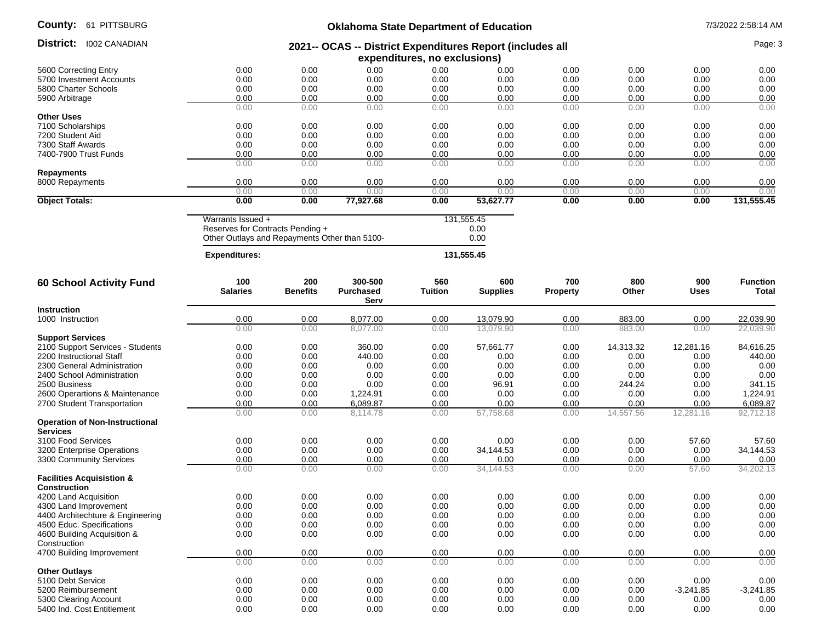| County: |  | 61 PITTSBURG |
|---------|--|--------------|
|---------|--|--------------|

## **Oklahoma State Department of Education** 7/3/2022 2:58:14 AM

|                                       |                                                           |                        | ONIGHUM State Department of Equeditor |                              |                        |                        |              |                    |                          |
|---------------------------------------|-----------------------------------------------------------|------------------------|---------------------------------------|------------------------------|------------------------|------------------------|--------------|--------------------|--------------------------|
| District:<br><b>I002 CANADIAN</b>     | 2021-- OCAS -- District Expenditures Report (includes all |                        |                                       |                              |                        |                        |              |                    | Page: 3                  |
|                                       |                                                           |                        |                                       | expenditures, no exclusions) |                        |                        |              |                    |                          |
| 5600 Correcting Entry                 | 0.00                                                      | 0.00                   | 0.00                                  | 0.00                         | 0.00                   | 0.00                   | 0.00         | 0.00               | 0.00                     |
| 5700 Investment Accounts              | 0.00                                                      | 0.00                   | 0.00                                  | 0.00                         | 0.00                   | 0.00                   | 0.00         | 0.00               | 0.00                     |
| 5800 Charter Schools                  | 0.00                                                      | 0.00                   | 0.00                                  | 0.00                         | 0.00                   | 0.00                   | 0.00         | 0.00               | 0.00                     |
| 5900 Arbitrage                        | 0.00                                                      | 0.00                   | 0.00                                  | 0.00                         | 0.00                   | 0.00                   | 0.00         | 0.00               | 0.00                     |
|                                       | 0.00                                                      | 0.00                   | 0.00                                  | 0.00                         | 0.00                   | 0.00                   | 0.00         | 0.00               | 0.00                     |
| <b>Other Uses</b>                     |                                                           |                        |                                       |                              |                        |                        |              |                    |                          |
| 7100 Scholarships                     | 0.00                                                      | 0.00                   | 0.00                                  | 0.00                         | 0.00                   | 0.00                   | 0.00         | 0.00               | 0.00                     |
| 7200 Student Aid                      | 0.00                                                      | 0.00                   | 0.00                                  | 0.00                         | 0.00                   | 0.00                   | 0.00         | 0.00               | 0.00                     |
| 7300 Staff Awards                     | 0.00                                                      | 0.00                   | 0.00                                  | 0.00                         | 0.00                   | 0.00                   | 0.00         | 0.00               | 0.00                     |
| 7400-7900 Trust Funds                 | 0.00                                                      | 0.00                   | 0.00                                  | 0.00                         | 0.00                   | 0.00                   | 0.00         | 0.00               | 0.00                     |
|                                       | 0.00                                                      | 0.00                   | 0.00                                  | 0.00                         | 0.00                   | 0.00                   | 0.00         | 0.00               | 0.00                     |
| <b>Repayments</b>                     |                                                           |                        |                                       |                              |                        |                        |              |                    |                          |
| 8000 Repayments                       | 0.00                                                      | 0.00                   | 0.00                                  | 0.00                         | 0.00                   | 0.00                   | 0.00         | 0.00               | 0.00                     |
|                                       | 0.00                                                      | 0.00<br>0.00           | 0.00                                  | 0.00                         | 0.00                   | 0.00                   | 0.00         | 0.00               | 0.00                     |
| <b>Object Totals:</b>                 | 0.00                                                      |                        | 77,927.68                             | 0.00                         | 53,627.77              | 0.00                   | 0.00         | 0.00               | 131,555.45               |
|                                       | Warrants Issued +                                         |                        |                                       |                              | 131,555.45             |                        |              |                    |                          |
|                                       | Reserves for Contracts Pending +                          |                        |                                       |                              | 0.00                   |                        |              |                    |                          |
|                                       | Other Outlays and Repayments Other than 5100-             |                        |                                       |                              | 0.00                   |                        |              |                    |                          |
|                                       | <b>Expenditures:</b>                                      |                        |                                       |                              | 131,555.45             |                        |              |                    |                          |
| <b>60 School Activity Fund</b>        | 100<br><b>Salaries</b>                                    | 200<br><b>Benefits</b> | 300-500<br><b>Purchased</b>           | 560<br><b>Tuition</b>        | 600<br><b>Supplies</b> | 700<br><b>Property</b> | 800<br>Other | 900<br><b>Uses</b> | <b>Function</b><br>Total |
| <b>Instruction</b>                    |                                                           |                        | Serv                                  |                              |                        |                        |              |                    |                          |
|                                       | 0.00                                                      | 0.00                   | 8,077.00                              | 0.00                         | 13,079.90              | 0.00                   | 883.00       | 0.00               |                          |
| 1000 Instruction                      | 0.00                                                      | 0.00                   | 8,077.00                              | 0.00                         | 13.079.90              | 0.00                   | 883.00       | 0.00               | 22,039.90<br>22,039.90   |
| <b>Support Services</b>               |                                                           |                        |                                       |                              |                        |                        |              |                    |                          |
| 2100 Support Services - Students      | 0.00                                                      | 0.00                   | 360.00                                | 0.00                         | 57,661.77              | 0.00                   | 14,313.32    | 12,281.16          | 84,616.25                |
| 2200 Instructional Staff              | 0.00                                                      | 0.00                   | 440.00                                | 0.00                         | 0.00                   | 0.00                   | 0.00         | 0.00               | 440.00                   |
| 2300 General Administration           | 0.00                                                      | 0.00                   | 0.00                                  | 0.00                         | 0.00                   | 0.00                   | 0.00         | 0.00               | 0.00                     |
| 2400 School Administration            | 0.00                                                      | 0.00                   | 0.00                                  | 0.00                         | 0.00                   | 0.00                   | 0.00         | 0.00               | 0.00                     |
| 2500 Business                         | 0.00                                                      | 0.00                   | 0.00                                  | 0.00                         | 96.91                  | 0.00                   | 244.24       | 0.00               | 341.15                   |
| 2600 Operartions & Maintenance        | 0.00                                                      | 0.00                   | 1,224.91                              | 0.00                         | 0.00                   | 0.00                   | 0.00         | 0.00               | 1,224.91                 |
| 2700 Student Transportation           | 0.00                                                      | 0.00                   | 6,089.87                              | 0.00                         | 0.00                   | 0.00                   | 0.00         | 0.00               | 6,089.87                 |
|                                       | 0.00                                                      | 0.00                   | 8,114.78                              | 0.00                         | 57,758.68              | 0.00                   | 14,557.56    | 12,281.16          | 92,712.18                |
| <b>Operation of Non-Instructional</b> |                                                           |                        |                                       |                              |                        |                        |              |                    |                          |
| <b>Services</b>                       |                                                           |                        |                                       |                              |                        |                        |              |                    |                          |
| 3100 Food Services                    | 0.00                                                      | 0.00                   | 0.00                                  | 0.00                         | 0.00                   | 0.00                   | 0.00         | 57.60              | 57.60                    |
| 3200 Enterprise Operations            | 0.00                                                      | 0.00                   | 0.00                                  | 0.00                         | 34,144.53              | 0.00                   | 0.00         | 0.00               | 34,144.53                |
| 3300 Community Services               | 0.00                                                      | 0.00                   | 0.00                                  | 0.00                         | 0.00                   | 0.00                   | 0.00         | 0.00               | 0.00                     |
| <b>Facilities Acquisistion &amp;</b>  | 0.00                                                      | 0.00                   | 0.00                                  | 0.00                         | 34,144.53              | 0.00                   | 0.00         | 57.60              | 34,202.13                |
| <b>Construction</b>                   |                                                           |                        |                                       |                              |                        |                        |              |                    |                          |
| 4200 Land Acquisition                 | 0.00                                                      | 0.00                   | 0.00                                  | 0.00                         | 0.00                   | 0.00                   | 0.00         | 0.00               | 0.00                     |
| 4300 Land Improvement                 | 0.00                                                      | 0.00                   | 0.00                                  | 0.00                         | 0.00                   | 0.00                   | 0.00         | 0.00               | 0.00                     |
| 4400 Architechture & Engineering      | 0.00                                                      | 0.00                   | 0.00                                  | 0.00                         | 0.00                   | 0.00                   | 0.00         | 0.00               | 0.00                     |
| 4500 Educ. Specifications             | 0.00                                                      | 0.00                   | 0.00                                  | 0.00                         | 0.00                   | 0.00                   | 0.00         | 0.00               | 0.00                     |
| 4600 Building Acquisition &           | 0.00                                                      | 0.00                   | 0.00                                  | 0.00                         | 0.00                   | 0.00                   | 0.00         | 0.00               | 0.00                     |
| Construction                          |                                                           |                        |                                       |                              |                        |                        |              |                    |                          |
| 4700 Building Improvement             | 0.00                                                      | 0.00                   | 0.00                                  | 0.00                         | 0.00                   | 0.00                   | 0.00         | 0.00               | 0.00                     |
|                                       | 0.00                                                      | 0.00                   | 0.00                                  | 0.00                         | 0.00                   | 0.00                   | 0.00         | 0.00               | 0.00                     |
| <b>Other Outlays</b>                  |                                                           |                        |                                       |                              |                        |                        |              |                    |                          |
| 5100 Debt Service                     | 0.00                                                      | 0.00                   | 0.00                                  | 0.00                         | 0.00                   | 0.00                   | 0.00         | 0.00               | 0.00                     |
| 5200 Reimbursement                    | 0.00                                                      | 0.00                   | 0.00                                  | 0.00                         | 0.00                   | 0.00                   | 0.00         | $-3,241.85$        | $-3,241.85$              |
| 5300 Clearing Account                 | 0.00                                                      | 0.00                   | 0.00                                  | 0.00                         | 0.00                   | 0.00                   | 0.00         | 0.00               | 0.00                     |
| 5400 Ind. Cost Entitlement            | 0.00                                                      | 0.00                   | 0.00                                  | 0.00                         | 0.00                   | 0.00                   | 0.00         | 0.00               | 0.00                     |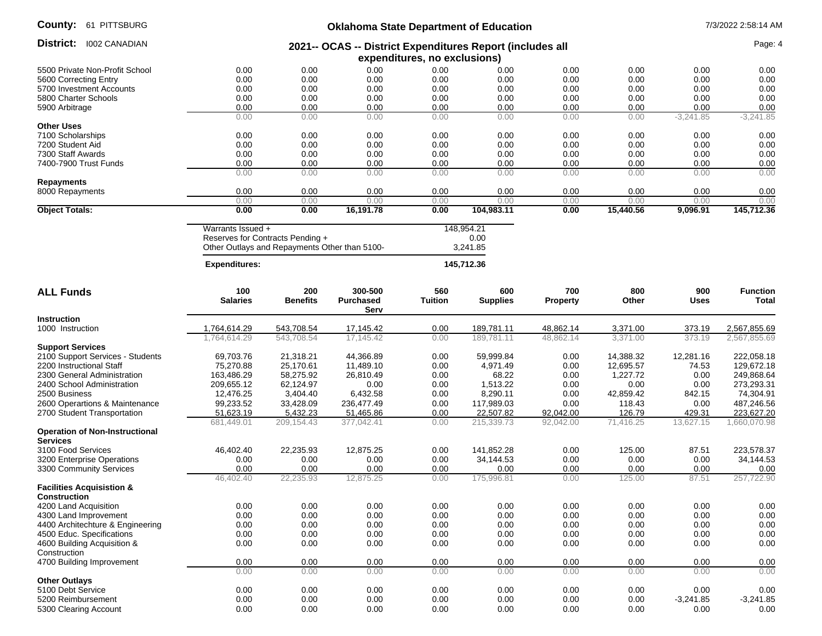| County: |  | 61 PITTSBURG |
|---------|--|--------------|
|---------|--|--------------|

### **Oklahoma State Department of Education 1/3/2022 2:58:14 AM**

| District:<br>1002 CANADIAN                               | 2021-- OCAS -- District Expenditures Report (includes all            |                                               |                  |                |                          |                 |           |                  | Page: 4         |
|----------------------------------------------------------|----------------------------------------------------------------------|-----------------------------------------------|------------------|----------------|--------------------------|-----------------|-----------|------------------|-----------------|
|                                                          | expenditures, no exclusions)                                         |                                               |                  |                |                          |                 |           |                  |                 |
| 5500 Private Non-Profit School                           | 0.00                                                                 | 0.00                                          | 0.00             | 0.00           | 0.00                     | 0.00            | 0.00      |                  |                 |
| 5600 Correcting Entry                                    | 0.00                                                                 | 0.00                                          | 0.00             | 0.00           | 0.00<br>0.00             | 0.00<br>0.00    | 0.00      | 0.00             | 0.00            |
| 5700 Investment Accounts                                 | 0.00                                                                 | 0.00                                          | 0.00             | 0.00           | 0.00                     | 0.00            | 0.00      | 0.00             | 0.00            |
| 5800 Charter Schools                                     | 0.00                                                                 | 0.00                                          | 0.00             | 0.00           | 0.00                     | 0.00            | 0.00      | 0.00             | 0.00            |
| 5900 Arbitrage                                           | 0.00                                                                 | 0.00                                          | 0.00             | 0.00           | 0.00                     | 0.00            | 0.00      | 0.00             | 0.00            |
|                                                          | 0.00                                                                 | 0.00                                          | 0.00             | 0.00           | 0.00                     | 0.00            | 0.00      | $-3,241.85$      | $-3,241.85$     |
| <b>Other Uses</b>                                        |                                                                      |                                               |                  |                |                          |                 |           |                  |                 |
| 7100 Scholarships                                        | 0.00                                                                 | 0.00                                          | 0.00             | 0.00           | 0.00                     | 0.00            | 0.00      | 0.00             | 0.00            |
| 7200 Student Aid                                         | 0.00                                                                 | 0.00                                          | 0.00             | 0.00           | 0.00                     | 0.00            | 0.00      | 0.00             | 0.00            |
| 7300 Staff Awards                                        | 0.00                                                                 | 0.00                                          | 0.00             | 0.00           | 0.00                     | 0.00            | 0.00      | 0.00             | 0.00            |
| 7400-7900 Trust Funds                                    | 0.00                                                                 | 0.00                                          | 0.00             | 0.00           | 0.00                     | 0.00            | 0.00      | 0.00             | 0.00            |
|                                                          | 0.00                                                                 | 0.00                                          | 0.00             | 0.00           | 0.00                     | 0.00            | 0.00      | 0.00             | 0.00            |
| Repayments                                               |                                                                      |                                               |                  |                |                          |                 |           |                  |                 |
| 8000 Repayments                                          | 0.00                                                                 | 0.00                                          | 0.00             | 0.00           | 0.00                     | 0.00            | 0.00      | 0.00             | 0.00            |
|                                                          | 0.00                                                                 | 0.00                                          | 0.00             | 0.00           | 0.00                     | 0.00            | 0.00      | 0.00             | 0.00            |
| <b>Object Totals:</b>                                    | 0.00                                                                 | 0.00                                          | 16,191.78        | 0.00           | 104,983.11               | 0.00            | 15,440.56 | 9,096.91         | 145,712.36      |
|                                                          |                                                                      |                                               |                  |                |                          |                 |           |                  |                 |
|                                                          | Warrants Issued +                                                    |                                               |                  |                | 148,954.21               |                 |           |                  |                 |
|                                                          |                                                                      | Reserves for Contracts Pending +              |                  |                | 0.00                     |                 |           |                  |                 |
|                                                          |                                                                      | Other Outlays and Repayments Other than 5100- |                  |                | 3,241.85                 |                 |           |                  |                 |
|                                                          |                                                                      |                                               |                  |                |                          |                 |           |                  |                 |
|                                                          | <b>Expenditures:</b>                                                 |                                               |                  |                | 145,712.36               |                 |           |                  |                 |
|                                                          |                                                                      |                                               |                  |                |                          |                 |           |                  |                 |
| <b>ALL Funds</b>                                         | 100                                                                  | 200                                           | 300-500          | 560            | 600                      | 700             | 800       | 900              | <b>Function</b> |
|                                                          | <b>Salaries</b>                                                      | <b>Benefits</b>                               | <b>Purchased</b> | <b>Tuition</b> | <b>Supplies</b>          | <b>Property</b> | Other     | <b>Uses</b>      | Total           |
|                                                          |                                                                      |                                               | Serv             |                |                          |                 |           |                  |                 |
| <b>Instruction</b>                                       |                                                                      |                                               |                  |                |                          |                 |           |                  |                 |
| 1000 Instruction                                         | 1,764,614.29                                                         | 543,708.54                                    | 17,145.42        | 0.00           | 189,781.11<br>189,781.11 | 48,862.14       | 3,371.00  | 373.19<br>373.19 | 2,567,855.69    |
|                                                          | 1,764,614.29                                                         | 543,708.54                                    | 17,145.42        | 0.00           |                          | 48,862.14       | 3,371.00  |                  | 2,567,855.69    |
| <b>Support Services</b>                                  |                                                                      |                                               |                  |                |                          |                 |           |                  |                 |
| 2100 Support Services - Students                         | 69,703.76                                                            | 21,318.21                                     | 44,366.89        | 0.00           | 59,999.84                | 0.00            | 14,388.32 | 12,281.16        | 222,058.18      |
| 2200 Instructional Staff                                 | 75,270.88                                                            | 25,170.61                                     | 11,489.10        | 0.00           | 4,971.49                 | 0.00            | 12,695.57 | 74.53            | 129,672.18      |
| 2300 General Administration                              | 163,486.29                                                           | 58,275.92                                     | 26,810.49        | 0.00           | 68.22                    | 0.00            | 1,227.72  | 0.00             | 249,868.64      |
| 2400 School Administration                               | 209,655.12                                                           | 62,124.97                                     | 0.00             | 0.00           | 1,513.22                 | 0.00            | 0.00      | 0.00             | 273,293.31      |
| 2500 Business                                            | 12,476.25                                                            | 3,404.40                                      | 6,432.58         | 0.00           | 8,290.11                 | 0.00            | 42,859.42 | 842.15           | 74,304.91       |
| 2600 Operartions & Maintenance                           | 99,233.52                                                            | 33,428.09                                     | 236,477.49       | 0.00           | 117,989.03               | 0.00            | 118.43    | 0.00             | 487,246.56      |
| 2700 Student Transportation                              | 51,623.19                                                            | 5,432.23                                      | 51,465.86        | 0.00           | 22,507.82                | 92,042.00       | 126.79    | 429.31           | 223,627.20      |
|                                                          | 681,449.01                                                           | 209, 154.43                                   | 377,042.41       | 0.00           | 215,339.73               | 92,042.00       | 71,416.25 | 13,627.15        | 1,660,070.98    |
| <b>Operation of Non-Instructional</b><br><b>Services</b> |                                                                      |                                               |                  |                |                          |                 |           |                  |                 |
| 3100 Food Services                                       | 46,402.40                                                            | 22,235.93                                     | 12,875.25        | 0.00           | 141,852.28               | 0.00            | 125.00    | 87.51            | 223,578.37      |
| 3200 Enterprise Operations                               | 0.00                                                                 | 0.00                                          | 0.00             | 0.00           | 34,144.53                | 0.00            | 0.00      | 0.00             | 34,144.53       |
| 3300 Community Services                                  | 0.00                                                                 | 0.00                                          | 0.00             | 0.00           | 0.00                     | 0.00            | 0.00      | 0.00             | 0.00            |
|                                                          | 46,402.40                                                            | 22,235.93                                     | 12,875.25        | 0.00           | 175,996.81               | 0.00            | 125.00    | 87.51            | 257,722.90      |
| <b>Facilities Acquisistion &amp;</b>                     |                                                                      |                                               |                  |                |                          |                 |           |                  |                 |
| <b>Construction</b>                                      |                                                                      |                                               |                  |                |                          |                 |           |                  |                 |
| 4200 Land Acquisition                                    | 0.00                                                                 | 0.00                                          | 0.00             | 0.00           | 0.00                     | 0.00            | 0.00      | 0.00             | 0.00            |
| 4300 Land Improvement                                    | 0.00                                                                 | 0.00                                          | 0.00             | 0.00           | 0.00                     | 0.00            | 0.00      | 0.00             | 0.00            |
| 4400 Architechture & Engineering                         | 0.00                                                                 | 0.00                                          | 0.00             | 0.00           | 0.00                     | 0.00            | 0.00      | 0.00             | 0.00            |
| 4500 Educ. Specifications                                | 0.00                                                                 | 0.00                                          | 0.00             | 0.00           | 0.00                     | 0.00            | 0.00      | 0.00             | 0.00            |
| 4600 Building Acquisition &                              | 0.00                                                                 | 0.00                                          | 0.00             | 0.00           | 0.00                     | 0.00            | 0.00      | 0.00             | 0.00            |
| Construction                                             |                                                                      |                                               |                  |                |                          |                 |           |                  |                 |
| 4700 Building Improvement                                | 0.00                                                                 | 0.00                                          | 0.00             | 0.00           | 0.00                     | 0.00            | 0.00      | 0.00             |                 |
|                                                          |                                                                      |                                               |                  |                |                          |                 |           |                  | 0.00            |
| <b>Other Outlays</b>                                     | 0.00<br>0.00<br>0.00<br>0.00<br>0.00<br>0.00<br>0.00<br>0.00<br>0.00 |                                               |                  |                |                          |                 |           |                  |                 |
| 5100 Debt Service                                        |                                                                      |                                               |                  |                |                          |                 |           |                  |                 |
|                                                          | 0.00                                                                 | 0.00                                          | 0.00             | 0.00           | 0.00                     | 0.00            | 0.00      | 0.00             | 0.00            |
| 5200 Reimbursement                                       | 0.00                                                                 | 0.00                                          | 0.00             | 0.00           | 0.00                     | 0.00            | 0.00      | $-3,241.85$      | $-3,241.85$     |
| 5300 Clearing Account                                    | 0.00                                                                 | 0.00                                          | 0.00             | 0.00           | 0.00                     | 0.00            | 0.00      | 0.00             | 0.00            |